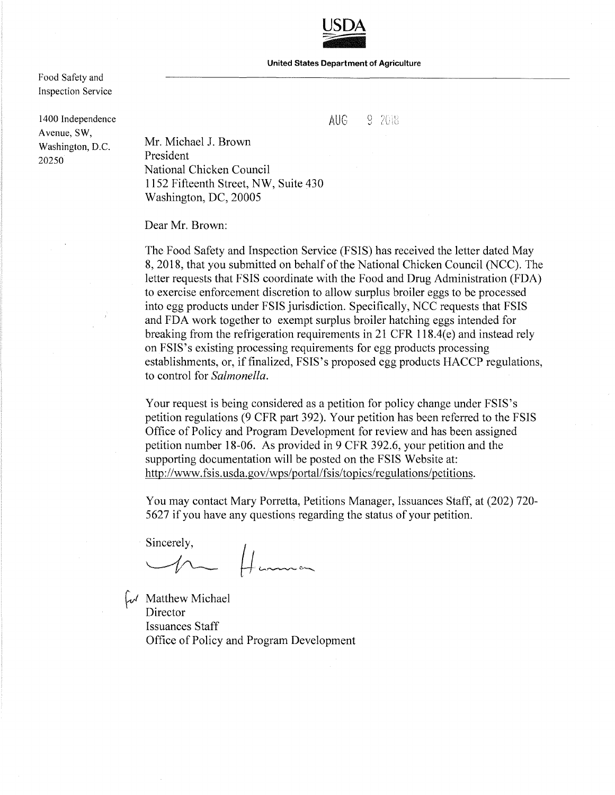**USDA**  USDA<br><del>1999</del>

**United States Department of Agriculture** 

Food Safety and Inspection Service

1400 Independence Avenue, SW, Washington, D.C. 20250

 $\text{AUG}$   $9.2018$ 

Mr. Michael J. Brown President National Chicken Council 1152 Fifteenth Street, NW, Suite 430 Washington, DC, 20005

Dear Mr. Brown:

The Food Safety and Inspection Service (FSIS) has received the letter dated May 8, 2018, that you submitted on behalf of the National Chicken Council (NCC). The letter requests that FSIS coordinate with the Food and Drug Administration (FDA) to exercise enforcement discretion to allow surplus broiler eggs to be processed into egg products under FSIS jurisdiction. Specifically, NCC requests that FSIS and FDA work together to exempt surplus broiler hatching eggs intended for breaking from the refrigeration requirements in 21 CFR 118.4( $e$ ) and instead rely on FSIS's existing processing requirements for egg products processing establishments, or, if finalized, FSIS's proposed egg products HACCP regulations, to control for *Salmonella.* 

Your request is being considered as a petition for policy change under FSIS's petition regulations (9 CFR part 392). Your petition has been referred to the FSIS Office of Policy and Program Development for review and has been assigned petition number 18-06. As provided in 9 CFR 392.6, your petition and the supporting documentation will be posted on the FSIS Website at: http://www.fsis.usda.gov/wps/portal/fsis/topics/regulations/petitions.

You may contact Mary Porretta, Petitions Manager, Issuances Staff, at (202) 720- 5627 if you have any questions regarding the status of your petition.

Sincerely,  $\overline{\mathcal{L}}$   $\overline{\mathcal{L}}$ 

 $\omega$  Matthew Michael Director Issuances Staff Office of Policy and Program Development